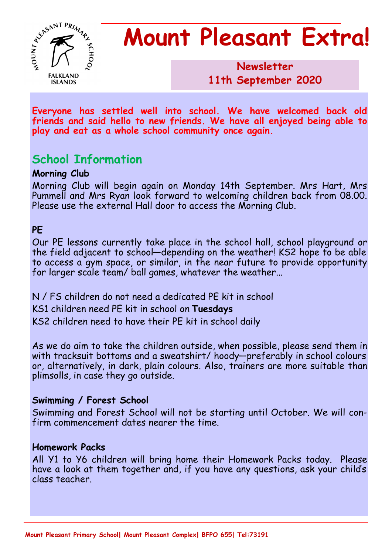

# **Mount Pleasant Extra!**

**Newsletter 1986 11th September 2020**

**Everyone has settled well into school. We have welcomed back old friends and said hello to new friends. We have all enjoyed being able to play and eat as a whole school community once again.**

# **School Information**

### **Morning Club**

Morning Club will begin again on Monday 14th September. Mrs Hart, Mrs Pummell and Mrs Ryan look forward to welcoming children back from 08.00. Please use the external Hall door to access the Morning Club.

## **PE**

Our PE lessons currently take place in the school hall, school playground or the field adjacent to school—depending on the weather! KS2 hope to be able to access a gym space, or similar, in the near future to provide opportunity for larger scale team/ ball games, whatever the weather...

N / FS children do not need a dedicated PE kit in school KS1 children need PE kit in school on **Tuesdays** KS2 children need to have their PE kit in school daily

As we do aim to take the children outside, when possible, please send them in with tracksuit bottoms and a sweatshirt/ hoody—preferably in school colours or, alternatively, in dark, plain colours. Also, trainers are more suitable than plimsolls, in case they go outside.

## **Swimming / Forest School**

Swimming and Forest School will not be starting until October. We will confirm commencement dates nearer the time.

#### **Homework Packs**

All Y1 to Y6 children will bring home their Homework Packs today. Please have a look at them together and, if you have any questions, ask your child's class teacher.